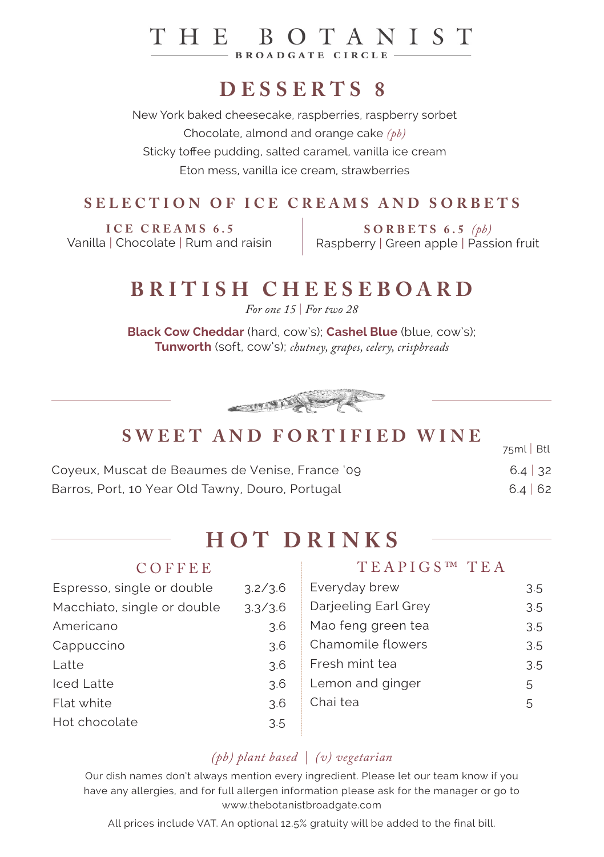#### THE BOTANIST **BROADGATE CIRCLE**

# **DESSERTS 8**

New York baked cheesecake, raspberries, raspberry sorbet Chocolate, almond and orange cake *(pb)* Sticky toffee pudding, salted caramel, vanilla ice cream Eton mess, vanilla ice cream, strawberries

#### **SELECTION OF ICE CREAMS AND SORBETS**

**ICE CREAMS 6.5** Vanilla | Chocolate | Rum and raisin

**SORBETS 6.5** *(pb)* Raspberry | Green apple | Passion fruit

## **BRITISH CHEESEBOARD**

*For one 15* | *For two 28*

**Black Cow Cheddar** (hard, cow's); **Cashel Blue** (blue, cow's); **Tunworth** (soft, cow's); *chutney, grapes, celery, crispbreads*



### **SWEET AND FORTIFIED WINE**

| $0$ well and forth-fld wind                      | $75ml$ Btl    |
|--------------------------------------------------|---------------|
| Coyeux, Muscat de Beaumes de Venise, France '09  | $6.4 \mid 32$ |
| Barros, Port, 10 Year Old Tawny, Douro, Portugal | $6.4 \mid 62$ |

## **HOT DRINKS**

| COFFEE                      |         | TEAPIGS™ TEA         |     |
|-----------------------------|---------|----------------------|-----|
| Espresso, single or double  | 3.2/3.6 | Everyday brew        | 3.5 |
| Macchiato, single or double | 3.3/3.6 | Darjeeling Earl Grey | 3.5 |
| Americano                   | 3.6     | Mao feng green tea   | 3.5 |
| Cappuccino                  | 3.6     | Chamomile flowers    | 3.5 |
| Latte                       | 3.6     | Fresh mint tea       | 3.5 |
| <b>Iced Latte</b>           | 3.6     | Lemon and ginger     | 5   |
| Flat white                  | 3.6     | Chai tea             | 5   |
| Hot chocolate               | 3.5     |                      |     |
|                             |         |                      |     |

#### *(pb) plant based | (v) vegetarian*

Our dish names don't always mention every ingredient. Please let our team know if you have any allergies, and for full allergen information please ask for the manager or go to www.thebotanistbroadgate.com

All prices include VAT. An optional 12.5% gratuity will be added to the final bill.